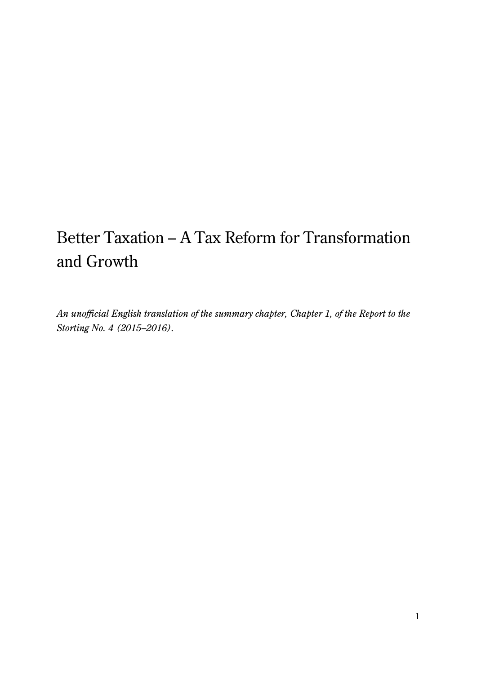# Better Taxation – A Tax Reform for Transformation and Growth

*An unofficial English translation of the summary chapter, Chapter 1, of the Report to the Storting No. 4 (2015–2016).*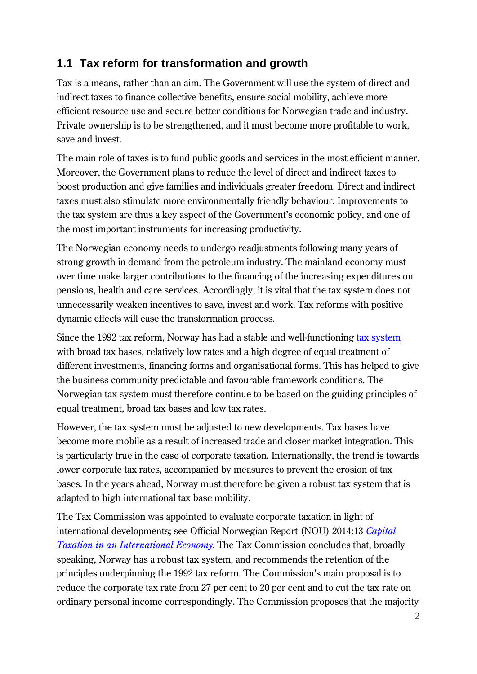# **1.1 Tax reform for transformation and growth**

Tax is a means, rather than an aim. The Government will use the system of direct and indirect taxes to finance collective benefits, ensure social mobility, achieve more efficient resource use and secure better conditions for Norwegian trade and industry. Private ownership is to be strengthened, and it must become more profitable to work, save and invest.

The main role of taxes is to fund public goods and services in the most efficient manner. Moreover, the Government plans to reduce the level of direct and indirect taxes to boost production and give families and individuals greater freedom. Direct and indirect taxes must also stimulate more environmentally friendly behaviour. Improvements to the tax system are thus a key aspect of the Government's economic policy, and one of the most important instruments for increasing productivity.

The Norwegian economy needs to undergo readjustments following many years of strong growth in demand from the petroleum industry. The mainland economy must over time make larger contributions to the financing of the increasing expenditures on pensions, health and care services. Accordingly, it is vital that the tax system does not unnecessarily weaken incentives to save, invest and work. Tax reforms with positive dynamic effects will ease the transformation process.

Since the 1992 tax reform, Norway has had a stable and well-functioning [tax system](http://www.statsbudsjettet.no/Upload/Statsbudsjett_2015/dokumenter/pdf/chapter2_tax2015_eng.pdf) with broad tax bases, relatively low rates and a high degree of equal treatment of different investments, financing forms and organisational forms. This has helped to give the business community predictable and favourable framework conditions. The Norwegian tax system must therefore continue to be based on the guiding principles of equal treatment, broad tax bases and low tax rates.

However, the tax system must be adjusted to new developments. Tax bases have become more mobile as a result of increased trade and closer market integration. This is particularly true in the case of corporate taxation. Internationally, the trend is towards lower corporate tax rates, accompanied by measures to prevent the erosion of tax bases. In the years ahead, Norway must therefore be given a robust tax system that is adapted to high international tax base mobility.

The Tax Commission was appointed to evaluate corporate taxation in light of international developments; see Official Norwegian Report (NOU) 2014:13 *[Capital](https://www.regjeringen.no/contentassets/bbd29ff81485402681c6e6ea46655fae/nou201420140013000engpdfs.pdf)  [Taxation in an International Economy](https://www.regjeringen.no/contentassets/bbd29ff81485402681c6e6ea46655fae/nou201420140013000engpdfs.pdf)*. The Tax Commission concludes that, broadly speaking, Norway has a robust tax system, and recommends the retention of the principles underpinning the 1992 tax reform. The Commission's main proposal is to reduce the corporate tax rate from 27 per cent to 20 per cent and to cut the tax rate on ordinary personal income correspondingly. The Commission proposes that the majority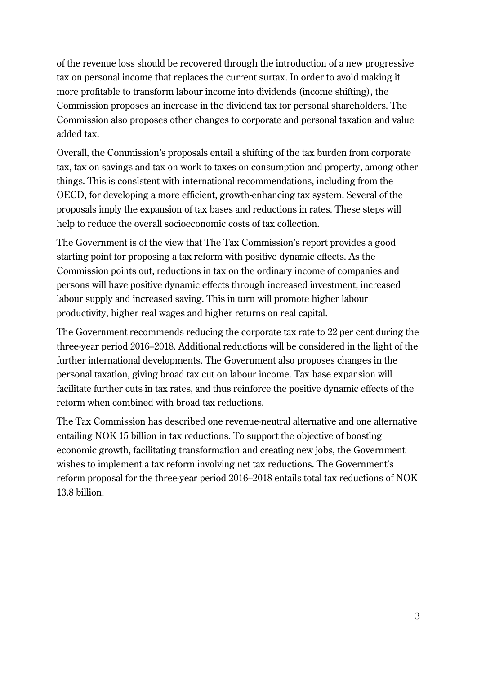of the revenue loss should be recovered through the introduction of a new progressive tax on personal income that replaces the current surtax. In order to avoid making it more profitable to transform labour income into dividends (income shifting), the Commission proposes an increase in the dividend tax for personal shareholders. The Commission also proposes other changes to corporate and personal taxation and value added tax.

Overall, the Commission's proposals entail a shifting of the tax burden from corporate tax, tax on savings and tax on work to taxes on consumption and property, among other things. This is consistent with international recommendations, including from the OECD, for developing a more efficient, growth-enhancing tax system. Several of the proposals imply the expansion of tax bases and reductions in rates. These steps will help to reduce the overall socioeconomic costs of tax collection.

The Government is of the view that The Tax Commission's report provides a good starting point for proposing a tax reform with positive dynamic effects. As the Commission points out, reductions in tax on the ordinary income of companies and persons will have positive dynamic effects through increased investment, increased labour supply and increased saving. This in turn will promote higher labour productivity, higher real wages and higher returns on real capital.

The Government recommends reducing the corporate tax rate to 22 per cent during the three-year period 2016–2018. Additional reductions will be considered in the light of the further international developments. The Government also proposes changes in the personal taxation, giving broad tax cut on labour income. Tax base expansion will facilitate further cuts in tax rates, and thus reinforce the positive dynamic effects of the reform when combined with broad tax reductions.

The Tax Commission has described one revenue-neutral alternative and one alternative entailing NOK 15 billion in tax reductions. To support the objective of boosting economic growth, facilitating transformation and creating new jobs, the Government wishes to implement a tax reform involving net tax reductions. The Government's reform proposal for the three-year period 2016–2018 entails total tax reductions of NOK 13.8 billion.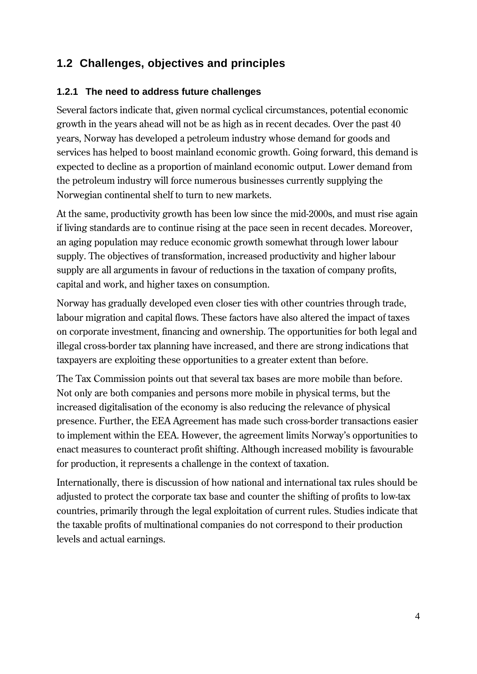# **1.2 Challenges, objectives and principles**

#### **1.2.1 The need to address future challenges**

Several factors indicate that, given normal cyclical circumstances, potential economic growth in the years ahead will not be as high as in recent decades. Over the past 40 years, Norway has developed a petroleum industry whose demand for goods and services has helped to boost mainland economic growth. Going forward, this demand is expected to decline as a proportion of mainland economic output. Lower demand from the petroleum industry will force numerous businesses currently supplying the Norwegian continental shelf to turn to new markets.

At the same, productivity growth has been low since the mid-2000s, and must rise again if living standards are to continue rising at the pace seen in recent decades. Moreover, an aging population may reduce economic growth somewhat through lower labour supply. The objectives of transformation, increased productivity and higher labour supply are all arguments in favour of reductions in the taxation of company profits, capital and work, and higher taxes on consumption.

Norway has gradually developed even closer ties with other countries through trade, labour migration and capital flows. These factors have also altered the impact of taxes on corporate investment, financing and ownership. The opportunities for both legal and illegal cross-border tax planning have increased, and there are strong indications that taxpayers are exploiting these opportunities to a greater extent than before.

The Tax Commission points out that several tax bases are more mobile than before. Not only are both companies and persons more mobile in physical terms, but the increased digitalisation of the economy is also reducing the relevance of physical presence. Further, the EEA Agreement has made such cross-border transactions easier to implement within the EEA. However, the agreement limits Norway's opportunities to enact measures to counteract profit shifting. Although increased mobility is favourable for production, it represents a challenge in the context of taxation.

Internationally, there is discussion of how national and international tax rules should be adjusted to protect the corporate tax base and counter the shifting of profits to low-tax countries, primarily through the legal exploitation of current rules. Studies indicate that the taxable profits of multinational companies do not correspond to their production levels and actual earnings.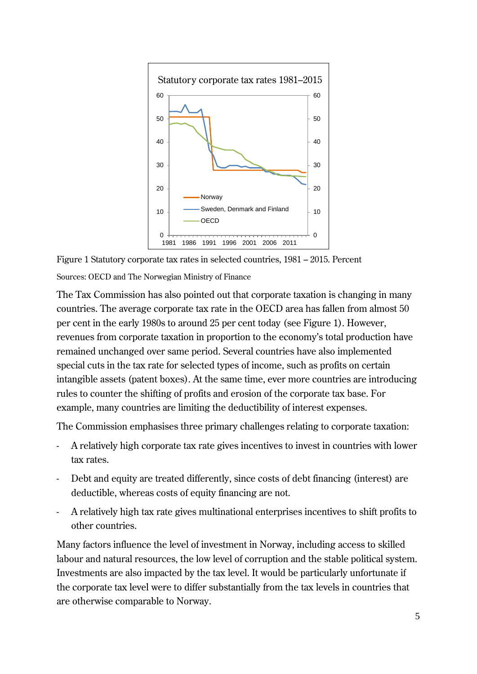

Figure 1 Statutory corporate tax rates in selected countries, 1981 – 2015. Percent Sources: OECD and The Norwegian Ministry of Finance

The Tax Commission has also pointed out that corporate taxation is changing in many countries. The average corporate tax rate in the OECD area has fallen from almost 50 per cent in the early 1980s to around 25 per cent today (see Figure 1). However, revenues from corporate taxation in proportion to the economy's total production have remained unchanged over same period. Several countries have also implemented special cuts in the tax rate for selected types of income, such as profits on certain intangible assets (patent boxes). At the same time, ever more countries are introducing rules to counter the shifting of profits and erosion of the corporate tax base. For example, many countries are limiting the deductibility of interest expenses.

The Commission emphasises three primary challenges relating to corporate taxation:

- A relatively high corporate tax rate gives incentives to invest in countries with lower tax rates.
- Debt and equity are treated differently, since costs of debt financing (interest) are deductible, whereas costs of equity financing are not.
- A relatively high tax rate gives multinational enterprises incentives to shift profits to other countries.

Many factors influence the level of investment in Norway, including access to skilled labour and natural resources, the low level of corruption and the stable political system. Investments are also impacted by the tax level. It would be particularly unfortunate if the corporate tax level were to differ substantially from the tax levels in countries that are otherwise comparable to Norway.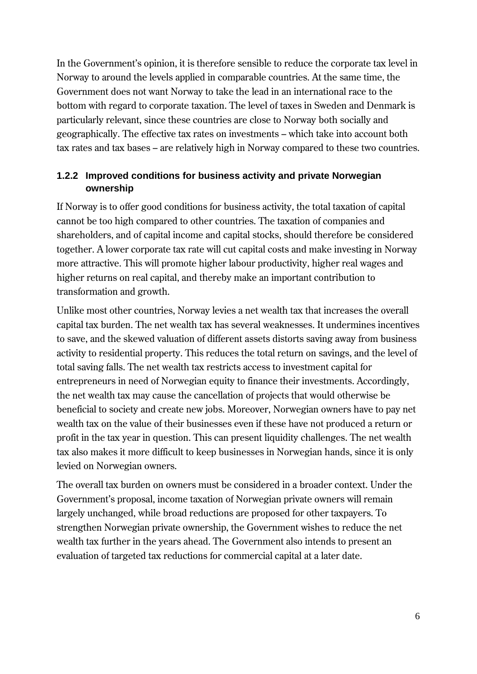In the Government's opinion, it is therefore sensible to reduce the corporate tax level in Norway to around the levels applied in comparable countries. At the same time, the Government does not want Norway to take the lead in an international race to the bottom with regard to corporate taxation. The level of taxes in Sweden and Denmark is particularly relevant, since these countries are close to Norway both socially and geographically. The effective tax rates on investments – which take into account both tax rates and tax bases – are relatively high in Norway compared to these two countries.

#### **1.2.2 Improved conditions for business activity and private Norwegian ownership**

If Norway is to offer good conditions for business activity, the total taxation of capital cannot be too high compared to other countries. The taxation of companies and shareholders, and of capital income and capital stocks, should therefore be considered together. A lower corporate tax rate will cut capital costs and make investing in Norway more attractive. This will promote higher labour productivity, higher real wages and higher returns on real capital, and thereby make an important contribution to transformation and growth.

Unlike most other countries, Norway levies a net wealth tax that increases the overall capital tax burden. The net wealth tax has several weaknesses. It undermines incentives to save, and the skewed valuation of different assets distorts saving away from business activity to residential property. This reduces the total return on savings, and the level of total saving falls. The net wealth tax restricts access to investment capital for entrepreneurs in need of Norwegian equity to finance their investments. Accordingly, the net wealth tax may cause the cancellation of projects that would otherwise be beneficial to society and create new jobs. Moreover, Norwegian owners have to pay net wealth tax on the value of their businesses even if these have not produced a return or profit in the tax year in question. This can present liquidity challenges. The net wealth tax also makes it more difficult to keep businesses in Norwegian hands, since it is only levied on Norwegian owners.

The overall tax burden on owners must be considered in a broader context. Under the Government's proposal, income taxation of Norwegian private owners will remain largely unchanged, while broad reductions are proposed for other taxpayers. To strengthen Norwegian private ownership, the Government wishes to reduce the net wealth tax further in the years ahead. The Government also intends to present an evaluation of targeted tax reductions for commercial capital at a later date.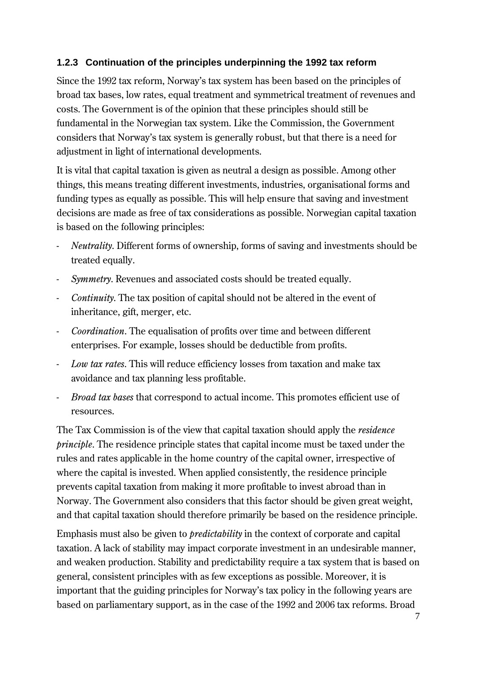#### **1.2.3 Continuation of the principles underpinning the 1992 tax reform**

Since the 1992 tax reform, Norway's tax system has been based on the principles of broad tax bases, low rates, equal treatment and symmetrical treatment of revenues and costs. The Government is of the opinion that these principles should still be fundamental in the Norwegian tax system. Like the Commission, the Government considers that Norway's tax system is generally robust, but that there is a need for adjustment in light of international developments.

It is vital that capital taxation is given as neutral a design as possible. Among other things, this means treating different investments, industries, organisational forms and funding types as equally as possible. This will help ensure that saving and investment decisions are made as free of tax considerations as possible. Norwegian capital taxation is based on the following principles:

- *Neutrality*. Different forms of ownership, forms of saving and investments should be treated equally.
- *Symmetry*. Revenues and associated costs should be treated equally.
- *Continuity*. The tax position of capital should not be altered in the event of inheritance, gift, merger, etc.
- *Coordination*. The equalisation of profits over time and between different enterprises. For example, losses should be deductible from profits.
- *Low tax rates*. This will reduce efficiency losses from taxation and make tax avoidance and tax planning less profitable.
- *Broad tax bases* that correspond to actual income. This promotes efficient use of resources.

The Tax Commission is of the view that capital taxation should apply the *residence principle*. The residence principle states that capital income must be taxed under the rules and rates applicable in the home country of the capital owner, irrespective of where the capital is invested. When applied consistently, the residence principle prevents capital taxation from making it more profitable to invest abroad than in Norway. The Government also considers that this factor should be given great weight, and that capital taxation should therefore primarily be based on the residence principle.

Emphasis must also be given to *predictability* in the context of corporate and capital taxation. A lack of stability may impact corporate investment in an undesirable manner, and weaken production. Stability and predictability require a tax system that is based on general, consistent principles with as few exceptions as possible. Moreover, it is important that the guiding principles for Norway's tax policy in the following years are based on parliamentary support, as in the case of the 1992 and 2006 tax reforms. Broad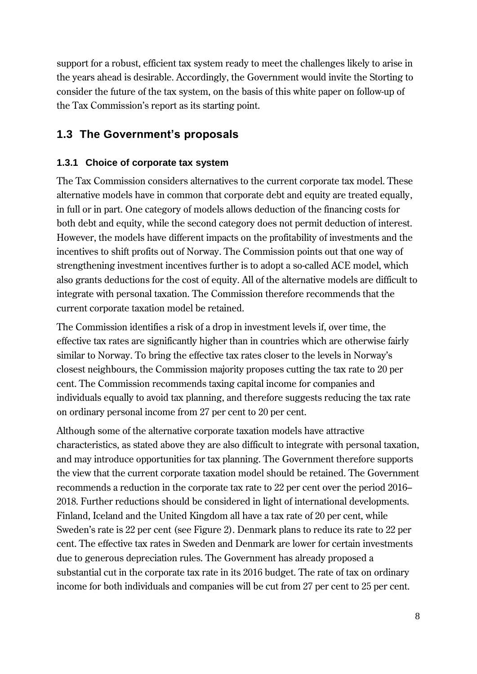support for a robust, efficient tax system ready to meet the challenges likely to arise in the years ahead is desirable. Accordingly, the Government would invite the Storting to consider the future of the tax system, on the basis of this white paper on follow-up of the Tax Commission's report as its starting point.

## **1.3 The Government's proposals**

#### **1.3.1 Choice of corporate tax system**

The Tax Commission considers alternatives to the current corporate tax model. These alternative models have in common that corporate debt and equity are treated equally, in full or in part. One category of models allows deduction of the financing costs for both debt and equity, while the second category does not permit deduction of interest. However, the models have different impacts on the profitability of investments and the incentives to shift profits out of Norway. The Commission points out that one way of strengthening investment incentives further is to adopt a so-called ACE model, which also grants deductions for the cost of equity. All of the alternative models are difficult to integrate with personal taxation. The Commission therefore recommends that the current corporate taxation model be retained.

The Commission identifies a risk of a drop in investment levels if, over time, the effective tax rates are significantly higher than in countries which are otherwise fairly similar to Norway. To bring the effective tax rates closer to the levels in Norway's closest neighbours, the Commission majority proposes cutting the tax rate to 20 per cent. The Commission recommends taxing capital income for companies and individuals equally to avoid tax planning, and therefore suggests reducing the tax rate on ordinary personal income from 27 per cent to 20 per cent.

Although some of the alternative corporate taxation models have attractive characteristics, as stated above they are also difficult to integrate with personal taxation, and may introduce opportunities for tax planning. The Government therefore supports the view that the current corporate taxation model should be retained. The Government recommends a reduction in the corporate tax rate to 22 per cent over the period 2016– 2018. Further reductions should be considered in light of international developments. Finland, Iceland and the United Kingdom all have a tax rate of 20 per cent, while Sweden's rate is 22 per cent (see Figure 2). Denmark plans to reduce its rate to 22 per cent. The effective tax rates in Sweden and Denmark are lower for certain investments due to generous depreciation rules. The Government has already proposed a substantial cut in the corporate tax rate in its 2016 budget. The rate of tax on ordinary income for both individuals and companies will be cut from 27 per cent to 25 per cent.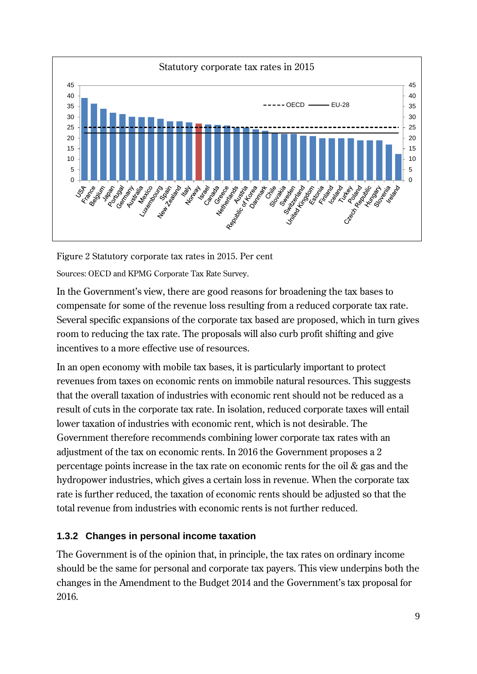

Figure 2 Statutory corporate tax rates in 2015. Per cent Sources: OECD and KPMG Corporate Tax Rate Survey.

In the Government's view, there are good reasons for broadening the tax bases to compensate for some of the revenue loss resulting from a reduced corporate tax rate. Several specific expansions of the corporate tax based are proposed, which in turn gives room to reducing the tax rate. The proposals will also curb profit shifting and give incentives to a more effective use of resources.

In an open economy with mobile tax bases, it is particularly important to protect revenues from taxes on economic rents on immobile natural resources. This suggests that the overall taxation of industries with economic rent should not be reduced as a result of cuts in the corporate tax rate. In isolation, reduced corporate taxes will entail lower taxation of industries with economic rent, which is not desirable. The Government therefore recommends combining lower corporate tax rates with an adjustment of the tax on economic rents. In 2016 the Government proposes a 2 percentage points increase in the tax rate on economic rents for the oil & gas and the hydropower industries, which gives a certain loss in revenue. When the corporate tax rate is further reduced, the taxation of economic rents should be adjusted so that the total revenue from industries with economic rents is not further reduced.

### **1.3.2 Changes in personal income taxation**

The Government is of the opinion that, in principle, the tax rates on ordinary income should be the same for personal and corporate tax payers. This view underpins both the changes in the Amendment to the Budget 2014 and the Government's tax proposal for 2016.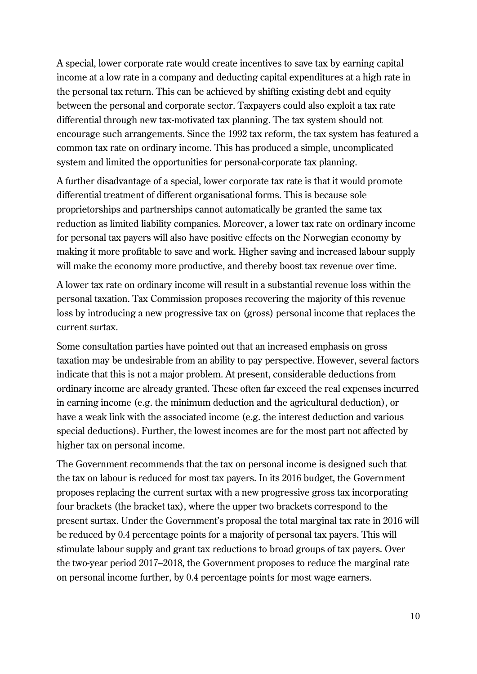A special, lower corporate rate would create incentives to save tax by earning capital income at a low rate in a company and deducting capital expenditures at a high rate in the personal tax return. This can be achieved by shifting existing debt and equity between the personal and corporate sector. Taxpayers could also exploit a tax rate differential through new tax-motivated tax planning. The tax system should not encourage such arrangements. Since the 1992 tax reform, the tax system has featured a common tax rate on ordinary income. This has produced a simple, uncomplicated system and limited the opportunities for personal-corporate tax planning.

A further disadvantage of a special, lower corporate tax rate is that it would promote differential treatment of different organisational forms. This is because sole proprietorships and partnerships cannot automatically be granted the same tax reduction as limited liability companies. Moreover, a lower tax rate on ordinary income for personal tax payers will also have positive effects on the Norwegian economy by making it more profitable to save and work. Higher saving and increased labour supply will make the economy more productive, and thereby boost tax revenue over time.

A lower tax rate on ordinary income will result in a substantial revenue loss within the personal taxation. Tax Commission proposes recovering the majority of this revenue loss by introducing a new progressive tax on (gross) personal income that replaces the current surtax.

Some consultation parties have pointed out that an increased emphasis on gross taxation may be undesirable from an ability to pay perspective. However, several factors indicate that this is not a major problem. At present, considerable deductions from ordinary income are already granted. These often far exceed the real expenses incurred in earning income (e.g. the minimum deduction and the agricultural deduction), or have a weak link with the associated income (e.g. the interest deduction and various special deductions). Further, the lowest incomes are for the most part not affected by higher tax on personal income.

The Government recommends that the tax on personal income is designed such that the tax on labour is reduced for most tax payers. In its 2016 budget, the Government proposes replacing the current surtax with a new progressive gross tax incorporating four brackets (the bracket tax), where the upper two brackets correspond to the present surtax. Under the Government's proposal the total marginal tax rate in 2016 will be reduced by 0.4 percentage points for a majority of personal tax payers. This will stimulate labour supply and grant tax reductions to broad groups of tax payers. Over the two-year period 2017–2018, the Government proposes to reduce the marginal rate on personal income further, by 0.4 percentage points for most wage earners.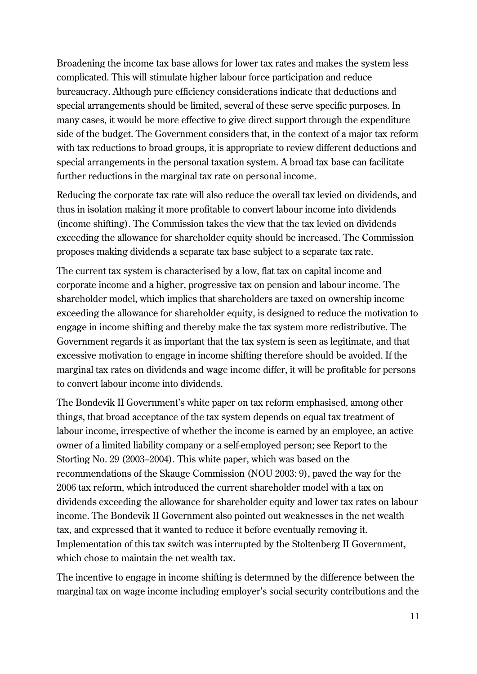Broadening the income tax base allows for lower tax rates and makes the system less complicated. This will stimulate higher labour force participation and reduce bureaucracy. Although pure efficiency considerations indicate that deductions and special arrangements should be limited, several of these serve specific purposes. In many cases, it would be more effective to give direct support through the expenditure side of the budget. The Government considers that, in the context of a major tax reform with tax reductions to broad groups, it is appropriate to review different deductions and special arrangements in the personal taxation system. A broad tax base can facilitate further reductions in the marginal tax rate on personal income.

Reducing the corporate tax rate will also reduce the overall tax levied on dividends, and thus in isolation making it more profitable to convert labour income into dividends (income shifting). The Commission takes the view that the tax levied on dividends exceeding the allowance for shareholder equity should be increased. The Commission proposes making dividends a separate tax base subject to a separate tax rate.

The current tax system is characterised by a low, flat tax on capital income and corporate income and a higher, progressive tax on pension and labour income. The shareholder model, which implies that shareholders are taxed on ownership income exceeding the allowance for shareholder equity, is designed to reduce the motivation to engage in income shifting and thereby make the tax system more redistributive. The Government regards it as important that the tax system is seen as legitimate, and that excessive motivation to engage in income shifting therefore should be avoided. If the marginal tax rates on dividends and wage income differ, it will be profitable for persons to convert labour income into dividends.

The Bondevik II Government's white paper on tax reform emphasised, among other things, that broad acceptance of the tax system depends on equal tax treatment of labour income, irrespective of whether the income is earned by an employee, an active owner of a limited liability company or a self-employed person; see Report to the Storting No. 29 (2003–2004). This white paper, which was based on the recommendations of the Skauge Commission (NOU 2003: 9), paved the way for the 2006 tax reform, which introduced the current shareholder model with a tax on dividends exceeding the allowance for shareholder equity and lower tax rates on labour income. The Bondevik II Government also pointed out weaknesses in the net wealth tax, and expressed that it wanted to reduce it before eventually removing it. Implementation of this tax switch was interrupted by the Stoltenberg II Government, which chose to maintain the net wealth tax.

The incentive to engage in income shifting is determned by the difference between the marginal tax on wage income including employer's social security contributions and the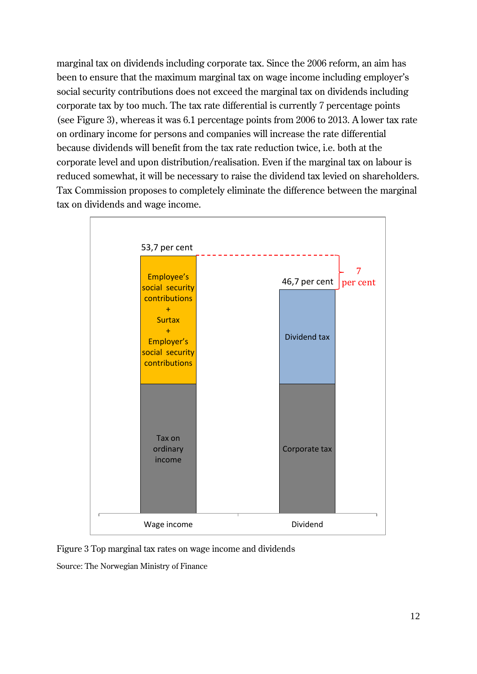marginal tax on dividends including corporate tax. Since the 2006 reform, an aim has been to ensure that the maximum marginal tax on wage income including employer's social security contributions does not exceed the marginal tax on dividends including corporate tax by too much. The tax rate differential is currently 7 percentage points (see Figure 3), whereas it was 6.1 percentage points from 2006 to 2013. A lower tax rate on ordinary income for persons and companies will increase the rate differential because dividends will benefit from the tax rate reduction twice, i.e. both at the corporate level and upon distribution/realisation. Even if the marginal tax on labour is reduced somewhat, it will be necessary to raise the dividend tax levied on shareholders. Tax Commission proposes to completely eliminate the difference between the marginal tax on dividends and wage income.



Figure 3 Top marginal tax rates on wage income and dividends

Source: The Norwegian Ministry of Finance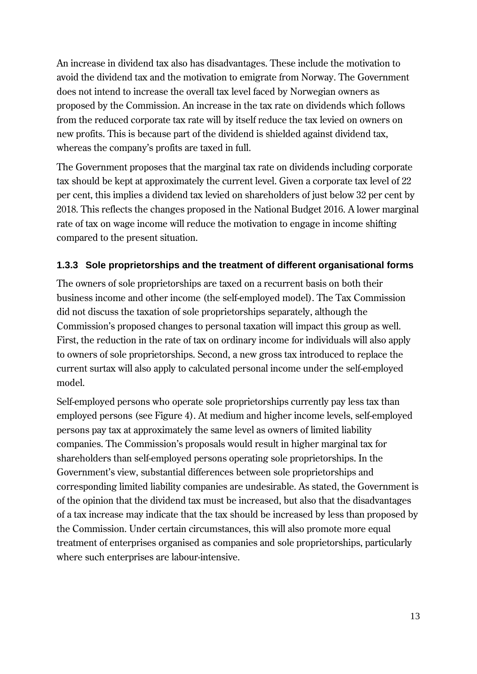An increase in dividend tax also has disadvantages. These include the motivation to avoid the dividend tax and the motivation to emigrate from Norway. The Government does not intend to increase the overall tax level faced by Norwegian owners as proposed by the Commission. An increase in the tax rate on dividends which follows from the reduced corporate tax rate will by itself reduce the tax levied on owners on new profits. This is because part of the dividend is shielded against dividend tax, whereas the company's profits are taxed in full.

The Government proposes that the marginal tax rate on dividends including corporate tax should be kept at approximately the current level. Given a corporate tax level of 22 per cent, this implies a dividend tax levied on shareholders of just below 32 per cent by 2018. This reflects the changes proposed in the National Budget 2016. A lower marginal rate of tax on wage income will reduce the motivation to engage in income shifting compared to the present situation.

#### **1.3.3 Sole proprietorships and the treatment of different organisational forms**

The owners of sole proprietorships are taxed on a recurrent basis on both their business income and other income (the self-employed model). The Tax Commission did not discuss the taxation of sole proprietorships separately, although the Commission's proposed changes to personal taxation will impact this group as well. First, the reduction in the rate of tax on ordinary income for individuals will also apply to owners of sole proprietorships. Second, a new gross tax introduced to replace the current surtax will also apply to calculated personal income under the self-employed model.

Self-employed persons who operate sole proprietorships currently pay less tax than employed persons (see Figure 4). At medium and higher income levels, self-employed persons pay tax at approximately the same level as owners of limited liability companies. The Commission's proposals would result in higher marginal tax for shareholders than self-employed persons operating sole proprietorships. In the Government's view, substantial differences between sole proprietorships and corresponding limited liability companies are undesirable. As stated, the Government is of the opinion that the dividend tax must be increased, but also that the disadvantages of a tax increase may indicate that the tax should be increased by less than proposed by the Commission. Under certain circumstances, this will also promote more equal treatment of enterprises organised as companies and sole proprietorships, particularly where such enterprises are labour-intensive.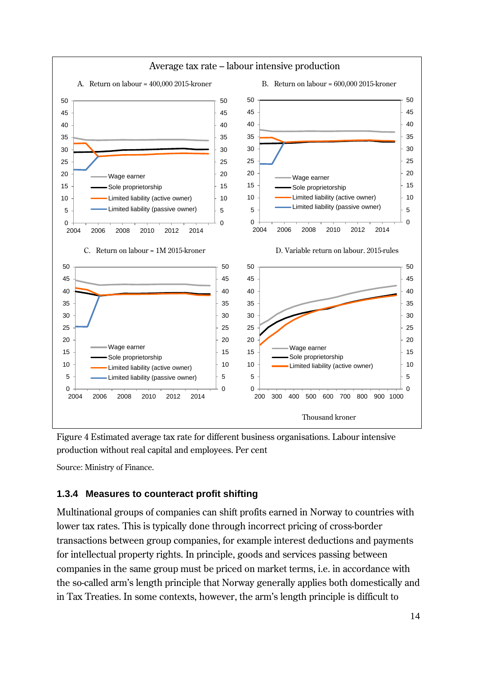

Figure 4 Estimated average tax rate for different business organisations. Labour intensive production without real capital and employees. Per cent

Source: Ministry of Finance.

#### **1.3.4 Measures to counteract profit shifting**

Multinational groups of companies can shift profits earned in Norway to countries with lower tax rates. This is typically done through incorrect pricing of cross-border transactions between group companies, for example interest deductions and payments for intellectual property rights. In principle, goods and services passing between companies in the same group must be priced on market terms, i.e. in accordance with the so-called arm's length principle that Norway generally applies both domestically and in Tax Treaties. In some contexts, however, the arm's length principle is difficult to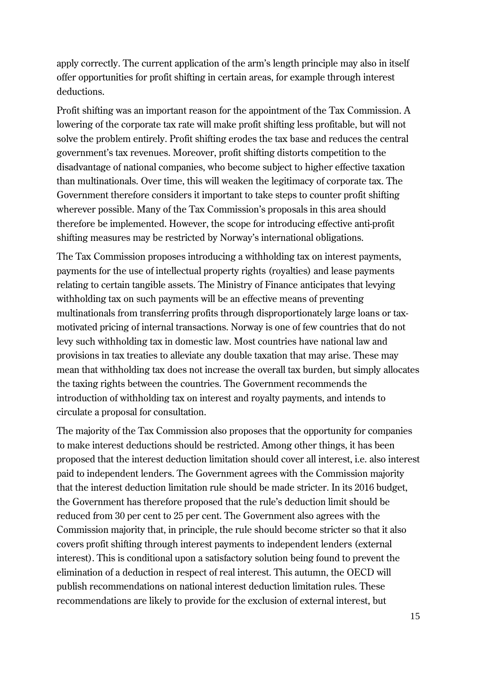apply correctly. The current application of the arm's length principle may also in itself offer opportunities for profit shifting in certain areas, for example through interest deductions.

Profit shifting was an important reason for the appointment of the Tax Commission. A lowering of the corporate tax rate will make profit shifting less profitable, but will not solve the problem entirely. Profit shifting erodes the tax base and reduces the central government's tax revenues. Moreover, profit shifting distorts competition to the disadvantage of national companies, who become subject to higher effective taxation than multinationals. Over time, this will weaken the legitimacy of corporate tax. The Government therefore considers it important to take steps to counter profit shifting wherever possible. Many of the Tax Commission's proposals in this area should therefore be implemented. However, the scope for introducing effective anti-profit shifting measures may be restricted by Norway's international obligations.

The Tax Commission proposes introducing a withholding tax on interest payments, payments for the use of intellectual property rights (royalties) and lease payments relating to certain tangible assets. The Ministry of Finance anticipates that levying withholding tax on such payments will be an effective means of preventing multinationals from transferring profits through disproportionately large loans or taxmotivated pricing of internal transactions. Norway is one of few countries that do not levy such withholding tax in domestic law. Most countries have national law and provisions in tax treaties to alleviate any double taxation that may arise. These may mean that withholding tax does not increase the overall tax burden, but simply allocates the taxing rights between the countries. The Government recommends the introduction of withholding tax on interest and royalty payments, and intends to circulate a proposal for consultation.

The majority of the Tax Commission also proposes that the opportunity for companies to make interest deductions should be restricted. Among other things, it has been proposed that the interest deduction limitation should cover all interest, i.e. also interest paid to independent lenders. The Government agrees with the Commission majority that the interest deduction limitation rule should be made stricter. In its 2016 budget, the Government has therefore proposed that the rule's deduction limit should be reduced from 30 per cent to 25 per cent. The Government also agrees with the Commission majority that, in principle, the rule should become stricter so that it also covers profit shifting through interest payments to independent lenders (external interest). This is conditional upon a satisfactory solution being found to prevent the elimination of a deduction in respect of real interest. This autumn, the OECD will publish recommendations on national interest deduction limitation rules. These recommendations are likely to provide for the exclusion of external interest, but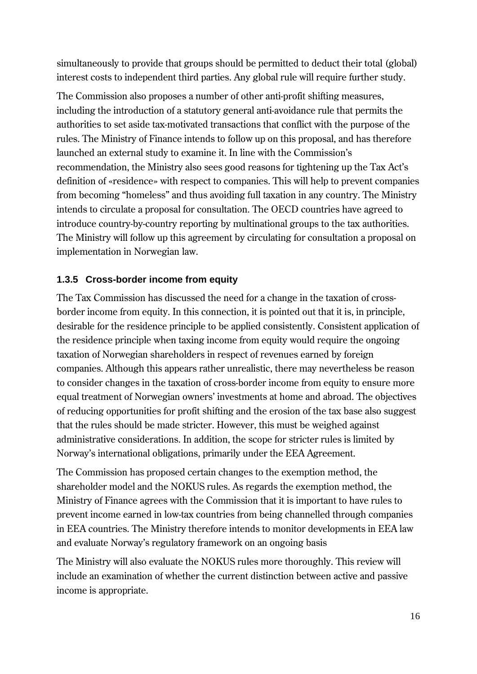simultaneously to provide that groups should be permitted to deduct their total (global) interest costs to independent third parties. Any global rule will require further study.

The Commission also proposes a number of other anti-profit shifting measures, including the introduction of a statutory general anti-avoidance rule that permits the authorities to set aside tax-motivated transactions that conflict with the purpose of the rules. The Ministry of Finance intends to follow up on this proposal, and has therefore launched an external study to examine it. In line with the Commission's recommendation, the Ministry also sees good reasons for tightening up the Tax Act's definition of «residence» with respect to companies. This will help to prevent companies from becoming "homeless" and thus avoiding full taxation in any country. The Ministry intends to circulate a proposal for consultation. The OECD countries have agreed to introduce country-by-country reporting by multinational groups to the tax authorities. The Ministry will follow up this agreement by circulating for consultation a proposal on implementation in Norwegian law.

#### **1.3.5 Cross-border income from equity**

The Tax Commission has discussed the need for a change in the taxation of crossborder income from equity. In this connection, it is pointed out that it is, in principle, desirable for the residence principle to be applied consistently. Consistent application of the residence principle when taxing income from equity would require the ongoing taxation of Norwegian shareholders in respect of revenues earned by foreign companies. Although this appears rather unrealistic, there may nevertheless be reason to consider changes in the taxation of cross-border income from equity to ensure more equal treatment of Norwegian owners' investments at home and abroad. The objectives of reducing opportunities for profit shifting and the erosion of the tax base also suggest that the rules should be made stricter. However, this must be weighed against administrative considerations. In addition, the scope for stricter rules is limited by Norway's international obligations, primarily under the EEA Agreement.

The Commission has proposed certain changes to the exemption method, the shareholder model and the NOKUS rules. As regards the exemption method, the Ministry of Finance agrees with the Commission that it is important to have rules to prevent income earned in low-tax countries from being channelled through companies in EEA countries. The Ministry therefore intends to monitor developments in EEA law and evaluate Norway's regulatory framework on an ongoing basis

The Ministry will also evaluate the NOKUS rules more thoroughly. This review will include an examination of whether the current distinction between active and passive income is appropriate.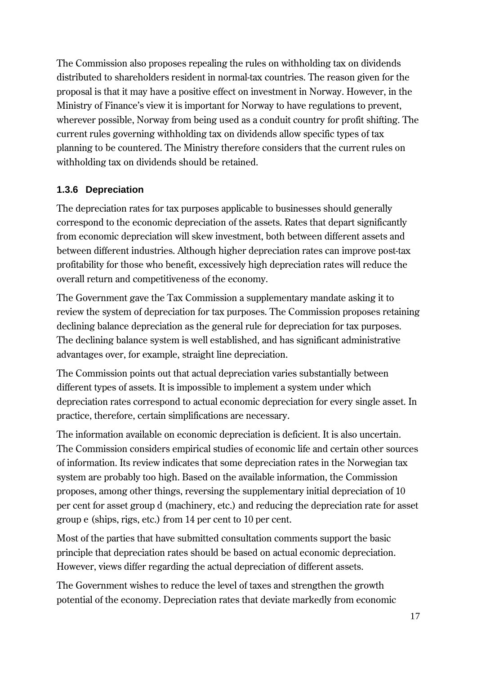The Commission also proposes repealing the rules on withholding tax on dividends distributed to shareholders resident in normal-tax countries. The reason given for the proposal is that it may have a positive effect on investment in Norway. However, in the Ministry of Finance's view it is important for Norway to have regulations to prevent, wherever possible, Norway from being used as a conduit country for profit shifting. The current rules governing withholding tax on dividends allow specific types of tax planning to be countered. The Ministry therefore considers that the current rules on withholding tax on dividends should be retained.

#### **1.3.6 Depreciation**

The depreciation rates for tax purposes applicable to businesses should generally correspond to the economic depreciation of the assets. Rates that depart significantly from economic depreciation will skew investment, both between different assets and between different industries. Although higher depreciation rates can improve post-tax profitability for those who benefit, excessively high depreciation rates will reduce the overall return and competitiveness of the economy.

The Government gave the Tax Commission a supplementary mandate asking it to review the system of depreciation for tax purposes. The Commission proposes retaining declining balance depreciation as the general rule for depreciation for tax purposes. The declining balance system is well established, and has significant administrative advantages over, for example, straight line depreciation.

The Commission points out that actual depreciation varies substantially between different types of assets. It is impossible to implement a system under which depreciation rates correspond to actual economic depreciation for every single asset. In practice, therefore, certain simplifications are necessary.

The information available on economic depreciation is deficient. It is also uncertain. The Commission considers empirical studies of economic life and certain other sources of information. Its review indicates that some depreciation rates in the Norwegian tax system are probably too high. Based on the available information, the Commission proposes, among other things, reversing the supplementary initial depreciation of 10 per cent for asset group d (machinery, etc.) and reducing the depreciation rate for asset group e (ships, rigs, etc.) from 14 per cent to 10 per cent.

Most of the parties that have submitted consultation comments support the basic principle that depreciation rates should be based on actual economic depreciation. However, views differ regarding the actual depreciation of different assets.

The Government wishes to reduce the level of taxes and strengthen the growth potential of the economy. Depreciation rates that deviate markedly from economic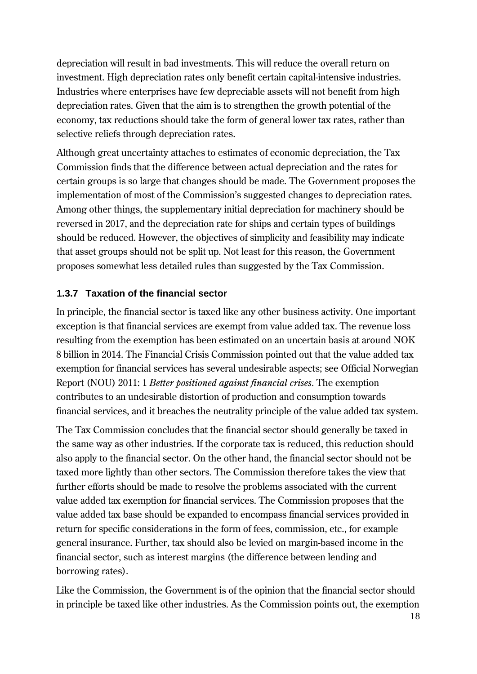depreciation will result in bad investments. This will reduce the overall return on investment. High depreciation rates only benefit certain capital-intensive industries. Industries where enterprises have few depreciable assets will not benefit from high depreciation rates. Given that the aim is to strengthen the growth potential of the economy, tax reductions should take the form of general lower tax rates, rather than selective reliefs through depreciation rates.

Although great uncertainty attaches to estimates of economic depreciation, the Tax Commission finds that the difference between actual depreciation and the rates for certain groups is so large that changes should be made. The Government proposes the implementation of most of the Commission's suggested changes to depreciation rates. Among other things, the supplementary initial depreciation for machinery should be reversed in 2017, and the depreciation rate for ships and certain types of buildings should be reduced. However, the objectives of simplicity and feasibility may indicate that asset groups should not be split up. Not least for this reason, the Government proposes somewhat less detailed rules than suggested by the Tax Commission.

#### **1.3.7 Taxation of the financial sector**

In principle, the financial sector is taxed like any other business activity. One important exception is that financial services are exempt from value added tax. The revenue loss resulting from the exemption has been estimated on an uncertain basis at around NOK 8 billion in 2014. The Financial Crisis Commission pointed out that the value added tax exemption for financial services has several undesirable aspects; see Official Norwegian Report (NOU) 2011: 1 *Better positioned against financial crises*. The exemption contributes to an undesirable distortion of production and consumption towards financial services, and it breaches the neutrality principle of the value added tax system.

The Tax Commission concludes that the financial sector should generally be taxed in the same way as other industries. If the corporate tax is reduced, this reduction should also apply to the financial sector. On the other hand, the financial sector should not be taxed more lightly than other sectors. The Commission therefore takes the view that further efforts should be made to resolve the problems associated with the current value added tax exemption for financial services. The Commission proposes that the value added tax base should be expanded to encompass financial services provided in return for specific considerations in the form of fees, commission, etc., for example general insurance. Further, tax should also be levied on margin-based income in the financial sector, such as interest margins (the difference between lending and borrowing rates).

Like the Commission, the Government is of the opinion that the financial sector should in principle be taxed like other industries. As the Commission points out, the exemption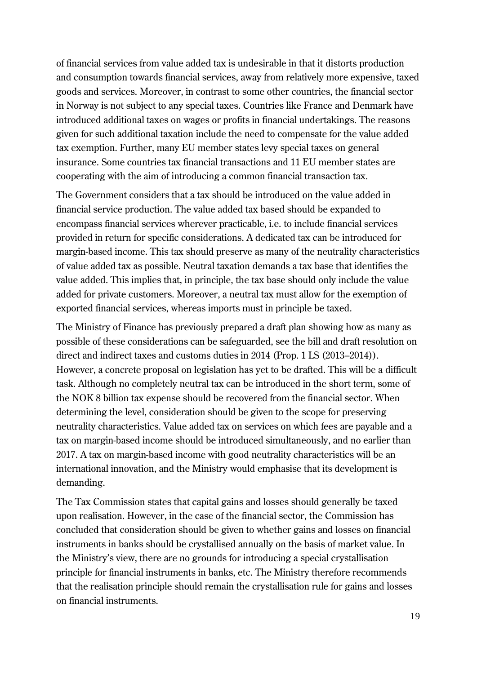of financial services from value added tax is undesirable in that it distorts production and consumption towards financial services, away from relatively more expensive, taxed goods and services. Moreover, in contrast to some other countries, the financial sector in Norway is not subject to any special taxes. Countries like France and Denmark have introduced additional taxes on wages or profits in financial undertakings. The reasons given for such additional taxation include the need to compensate for the value added tax exemption. Further, many EU member states levy special taxes on general insurance. Some countries tax financial transactions and 11 EU member states are cooperating with the aim of introducing a common financial transaction tax.

The Government considers that a tax should be introduced on the value added in financial service production. The value added tax based should be expanded to encompass financial services wherever practicable, i.e. to include financial services provided in return for specific considerations. A dedicated tax can be introduced for margin-based income. This tax should preserve as many of the neutrality characteristics of value added tax as possible. Neutral taxation demands a tax base that identifies the value added. This implies that, in principle, the tax base should only include the value added for private customers. Moreover, a neutral tax must allow for the exemption of exported financial services, whereas imports must in principle be taxed.

The Ministry of Finance has previously prepared a draft plan showing how as many as possible of these considerations can be safeguarded, see the bill and draft resolution on direct and indirect taxes and customs duties in 2014 (Prop. 1 LS (2013–2014)). However, a concrete proposal on legislation has yet to be drafted. This will be a difficult task. Although no completely neutral tax can be introduced in the short term, some of the NOK 8 billion tax expense should be recovered from the financial sector. When determining the level, consideration should be given to the scope for preserving neutrality characteristics. Value added tax on services on which fees are payable and a tax on margin-based income should be introduced simultaneously, and no earlier than 2017. A tax on margin-based income with good neutrality characteristics will be an international innovation, and the Ministry would emphasise that its development is demanding.

The Tax Commission states that capital gains and losses should generally be taxed upon realisation. However, in the case of the financial sector, the Commission has concluded that consideration should be given to whether gains and losses on financial instruments in banks should be crystallised annually on the basis of market value. In the Ministry's view, there are no grounds for introducing a special crystallisation principle for financial instruments in banks, etc. The Ministry therefore recommends that the realisation principle should remain the crystallisation rule for gains and losses on financial instruments.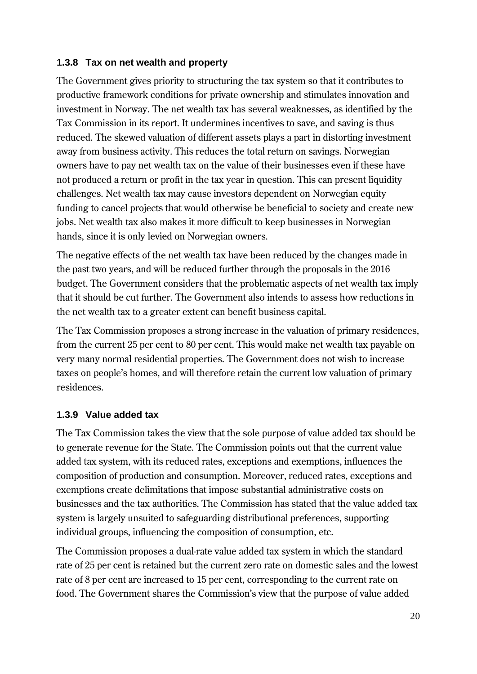#### **1.3.8 Tax on net wealth and property**

The Government gives priority to structuring the tax system so that it contributes to productive framework conditions for private ownership and stimulates innovation and investment in Norway. The net wealth tax has several weaknesses, as identified by the Tax Commission in its report. It undermines incentives to save, and saving is thus reduced. The skewed valuation of different assets plays a part in distorting investment away from business activity. This reduces the total return on savings. Norwegian owners have to pay net wealth tax on the value of their businesses even if these have not produced a return or profit in the tax year in question. This can present liquidity challenges. Net wealth tax may cause investors dependent on Norwegian equity funding to cancel projects that would otherwise be beneficial to society and create new jobs. Net wealth tax also makes it more difficult to keep businesses in Norwegian hands, since it is only levied on Norwegian owners.

The negative effects of the net wealth tax have been reduced by the changes made in the past two years, and will be reduced further through the proposals in the 2016 budget. The Government considers that the problematic aspects of net wealth tax imply that it should be cut further. The Government also intends to assess how reductions in the net wealth tax to a greater extent can benefit business capital.

The Tax Commission proposes a strong increase in the valuation of primary residences, from the current 25 per cent to 80 per cent. This would make net wealth tax payable on very many normal residential properties. The Government does not wish to increase taxes on people's homes, and will therefore retain the current low valuation of primary residences.

#### **1.3.9 Value added tax**

The Tax Commission takes the view that the sole purpose of value added tax should be to generate revenue for the State. The Commission points out that the current value added tax system, with its reduced rates, exceptions and exemptions, influences the composition of production and consumption. Moreover, reduced rates, exceptions and exemptions create delimitations that impose substantial administrative costs on businesses and the tax authorities. The Commission has stated that the value added tax system is largely unsuited to safeguarding distributional preferences, supporting individual groups, influencing the composition of consumption, etc.

The Commission proposes a dual-rate value added tax system in which the standard rate of 25 per cent is retained but the current zero rate on domestic sales and the lowest rate of 8 per cent are increased to 15 per cent, corresponding to the current rate on food. The Government shares the Commission's view that the purpose of value added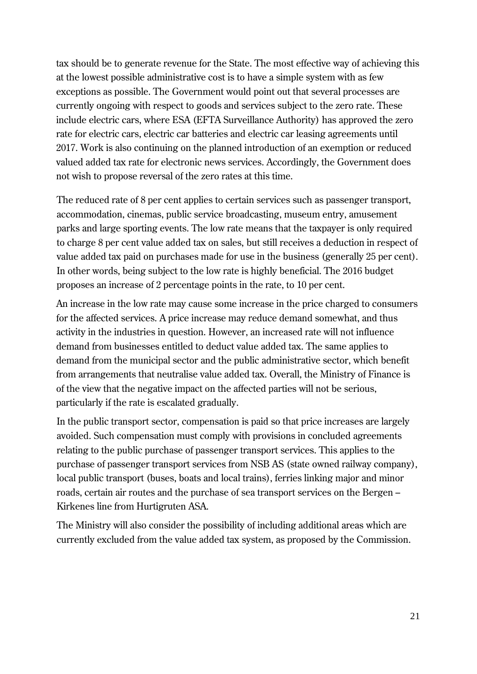tax should be to generate revenue for the State. The most effective way of achieving this at the lowest possible administrative cost is to have a simple system with as few exceptions as possible. The Government would point out that several processes are currently ongoing with respect to goods and services subject to the zero rate. These include electric cars, where ESA (EFTA Surveillance Authority) has approved the zero rate for electric cars, electric car batteries and electric car leasing agreements until 2017. Work is also continuing on the planned introduction of an exemption or reduced valued added tax rate for electronic news services. Accordingly, the Government does not wish to propose reversal of the zero rates at this time.

The reduced rate of 8 per cent applies to certain services such as passenger transport, accommodation, cinemas, public service broadcasting, museum entry, amusement parks and large sporting events. The low rate means that the taxpayer is only required to charge 8 per cent value added tax on sales, but still receives a deduction in respect of value added tax paid on purchases made for use in the business (generally 25 per cent). In other words, being subject to the low rate is highly beneficial. The 2016 budget proposes an increase of 2 percentage points in the rate, to 10 per cent.

An increase in the low rate may cause some increase in the price charged to consumers for the affected services. A price increase may reduce demand somewhat, and thus activity in the industries in question. However, an increased rate will not influence demand from businesses entitled to deduct value added tax. The same applies to demand from the municipal sector and the public administrative sector, which benefit from arrangements that neutralise value added tax. Overall, the Ministry of Finance is of the view that the negative impact on the affected parties will not be serious, particularly if the rate is escalated gradually.

In the public transport sector, compensation is paid so that price increases are largely avoided. Such compensation must comply with provisions in concluded agreements relating to the public purchase of passenger transport services. This applies to the purchase of passenger transport services from NSB AS (state owned railway company), local public transport (buses, boats and local trains), ferries linking major and minor roads, certain air routes and the purchase of sea transport services on the Bergen – Kirkenes line from Hurtigruten ASA.

The Ministry will also consider the possibility of including additional areas which are currently excluded from the value added tax system, as proposed by the Commission.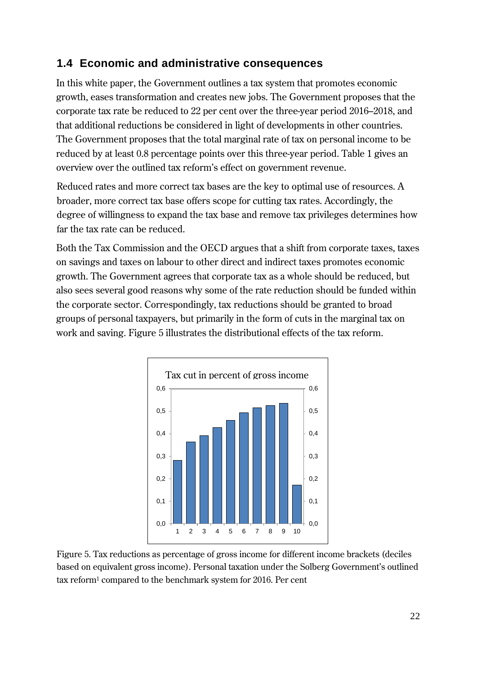## **1.4 Economic and administrative consequences**

In this white paper, the Government outlines a tax system that promotes economic growth, eases transformation and creates new jobs. The Government proposes that the corporate tax rate be reduced to 22 per cent over the three-year period 2016–2018, and that additional reductions be considered in light of developments in other countries. The Government proposes that the total marginal rate of tax on personal income to be reduced by at least 0.8 percentage points over this three-year period. Table 1 gives an overview over the outlined tax reform's effect on government revenue.

Reduced rates and more correct tax bases are the key to optimal use of resources. A broader, more correct tax base offers scope for cutting tax rates. Accordingly, the degree of willingness to expand the tax base and remove tax privileges determines how far the tax rate can be reduced.

Both the Tax Commission and the OECD argues that a shift from corporate taxes, taxes on savings and taxes on labour to other direct and indirect taxes promotes economic growth. The Government agrees that corporate tax as a whole should be reduced, but also sees several good reasons why some of the rate reduction should be funded within the corporate sector. Correspondingly, tax reductions should be granted to broad groups of personal taxpayers, but primarily in the form of cuts in the marginal tax on work and saving. Figure 5 illustrates the distributional effects of the tax reform.



Figure 5. Tax reductions as percentage of gross income for different income brackets (deciles based on equivalent gross income). Personal taxation under the Solberg Government's outlined tax reform<sup>1</sup> compared to the benchmark system for 2016. Per cent